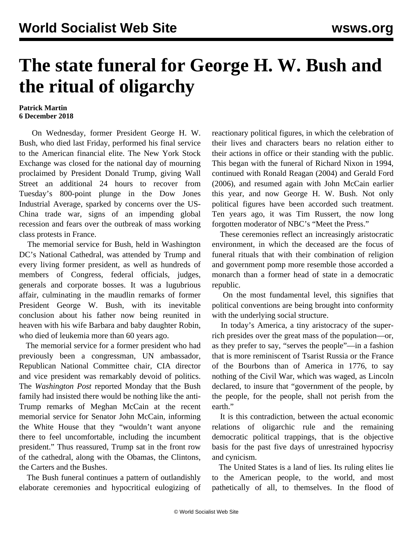## **The state funeral for George H. W. Bush and the ritual of oligarchy**

## **Patrick Martin 6 December 2018**

 On Wednesday, former President George H. W. Bush, who died last Friday, performed his final service to the American financial elite. The New York Stock Exchange was closed for the national day of mourning proclaimed by President Donald Trump, giving Wall Street an additional 24 hours to recover from Tuesday's 800-point plunge in the Dow Jones Industrial Average, sparked by concerns over the US-China trade war, signs of an impending global recession and fears over the outbreak of mass working class protests in France.

 The memorial service for Bush, held in Washington DC's National Cathedral, was attended by Trump and every living former president, as well as hundreds of members of Congress, federal officials, judges, generals and corporate bosses. It was a lugubrious affair, culminating in the maudlin remarks of former President George W. Bush, with its inevitable conclusion about his father now being reunited in heaven with his wife Barbara and baby daughter Robin, who died of leukemia more than 60 years ago.

 The memorial service for a former president who had previously been a congressman, UN ambassador, Republican National Committee chair, CIA director and vice president was remarkably devoid of politics. The *Washington Post* reported Monday that the Bush family had insisted there would be nothing like the anti-Trump remarks of Meghan McCain at the recent memorial service for Senator John McCain, informing the White House that they "wouldn't want anyone there to feel uncomfortable, including the incumbent president." Thus reassured, Trump sat in the front row of the cathedral, along with the Obamas, the Clintons, the Carters and the Bushes.

 The Bush funeral continues a pattern of outlandishly elaborate ceremonies and hypocritical eulogizing of reactionary political figures, in which the celebration of their lives and characters bears no relation either to their actions in office or their standing with the public. This began with the funeral of Richard Nixon in 1994, continued with Ronald Reagan (2004) and Gerald Ford (2006), and resumed again with John McCain earlier this year, and now George H. W. Bush. Not only political figures have been accorded such treatment. Ten years ago, it was Tim Russert, the now long forgotten moderator of NBC's "Meet the Press."

 These ceremonies reflect an increasingly aristocratic environment, in which the deceased are the focus of funeral rituals that with their combination of religion and government pomp more resemble those accorded a monarch than a former head of state in a democratic republic.

 On the most fundamental level, this signifies that political conventions are being brought into conformity with the underlying social structure.

 In today's America, a tiny aristocracy of the superrich presides over the great mass of the population—or, as they prefer to say, "serves the people"—in a fashion that is more reminiscent of Tsarist Russia or the France of the Bourbons than of America in 1776, to say nothing of the Civil War, which was waged, as Lincoln declared, to insure that "government of the people, by the people, for the people, shall not perish from the earth."

 It is this contradiction, between the actual economic relations of oligarchic rule and the remaining democratic political trappings, that is the objective basis for the past five days of unrestrained hypocrisy and cynicism.

 The United States is a land of lies. Its ruling elites lie to the American people, to the world, and most pathetically of all, to themselves. In the flood of